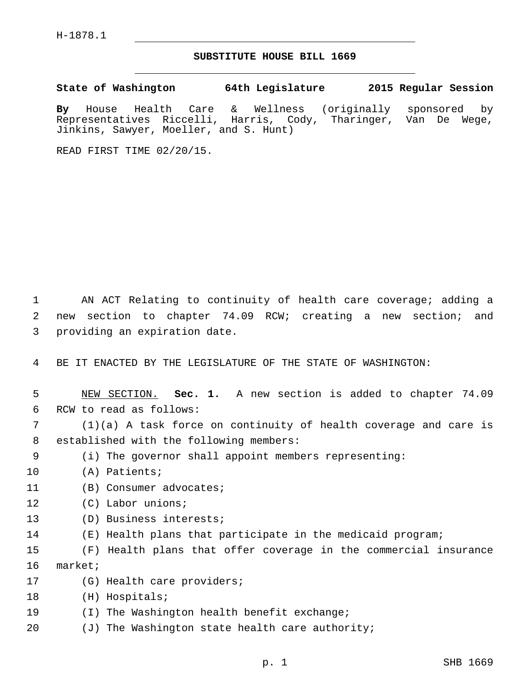H-1878.1

## **SUBSTITUTE HOUSE BILL 1669**

**State of Washington 64th Legislature 2015 Regular Session**

**By** House Health Care & Wellness (originally sponsored by Representatives Riccelli, Harris, Cody, Tharinger, Van De Wege, Jinkins, Sawyer, Moeller, and S. Hunt)

READ FIRST TIME 02/20/15.

1 AN ACT Relating to continuity of health care coverage; adding a 2 new section to chapter 74.09 RCW; creating a new section; and 3 providing an expiration date.

4 BE IT ENACTED BY THE LEGISLATURE OF THE STATE OF WASHINGTON:

5 NEW SECTION. **Sec. 1.** A new section is added to chapter 74.09 6 RCW to read as follows:

7 (1)(a) A task force on continuity of health coverage and care is 8 established with the following members:

- 9 (i) The governor shall appoint members representing:
- 10 (A) Patients;
- 11 (B) Consumer advocates;
- 12 (C) Labor unions;
- 13 (D) Business interests;
- 14 (E) Health plans that participate in the medicaid program;

15 (F) Health plans that offer coverage in the commercial insurance 16 market;

- 17 (G) Health care providers;
- 18 (H) Hospitals;
- 19 (I) The Washington health benefit exchange;
- 20  $(J)$  The Washington state health care authority;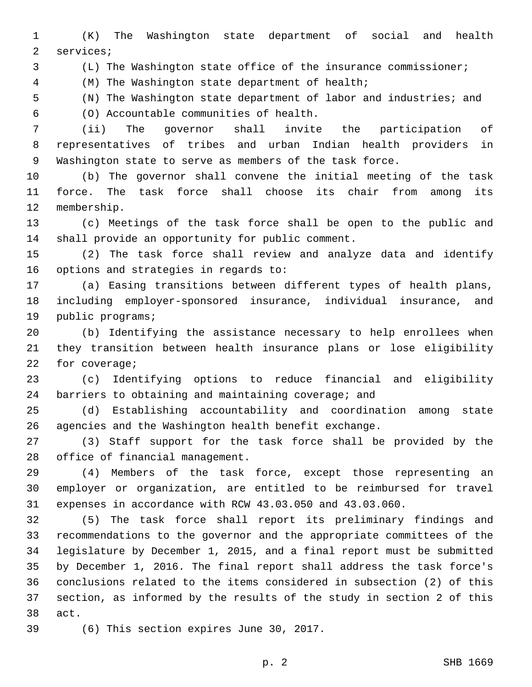(K) The Washington state department of social and health 2 services;

(L) The Washington state office of the insurance commissioner;

(M) The Washington state department of health;4

(N) The Washington state department of labor and industries; and

(O) Accountable communities of health.6

 (ii) The governor shall invite the participation of representatives of tribes and urban Indian health providers in Washington state to serve as members of the task force.

 (b) The governor shall convene the initial meeting of the task force. The task force shall choose its chair from among its 12 membership.

 (c) Meetings of the task force shall be open to the public and 14 shall provide an opportunity for public comment.

 (2) The task force shall review and analyze data and identify 16 options and strategies in regards to:

 (a) Easing transitions between different types of health plans, including employer-sponsored insurance, individual insurance, and 19 public programs;

 (b) Identifying the assistance necessary to help enrollees when they transition between health insurance plans or lose eligibility 22 for coverage;

 (c) Identifying options to reduce financial and eligibility 24 barriers to obtaining and maintaining coverage; and

 (d) Establishing accountability and coordination among state agencies and the Washington health benefit exchange.

 (3) Staff support for the task force shall be provided by the 28 office of financial management.

 (4) Members of the task force, except those representing an employer or organization, are entitled to be reimbursed for travel expenses in accordance with RCW 43.03.050 and 43.03.060.

 (5) The task force shall report its preliminary findings and recommendations to the governor and the appropriate committees of the legislature by December 1, 2015, and a final report must be submitted by December 1, 2016. The final report shall address the task force's conclusions related to the items considered in subsection (2) of this section, as informed by the results of the study in section 2 of this 38 act.

39 (6) This section expires June 30, 2017.